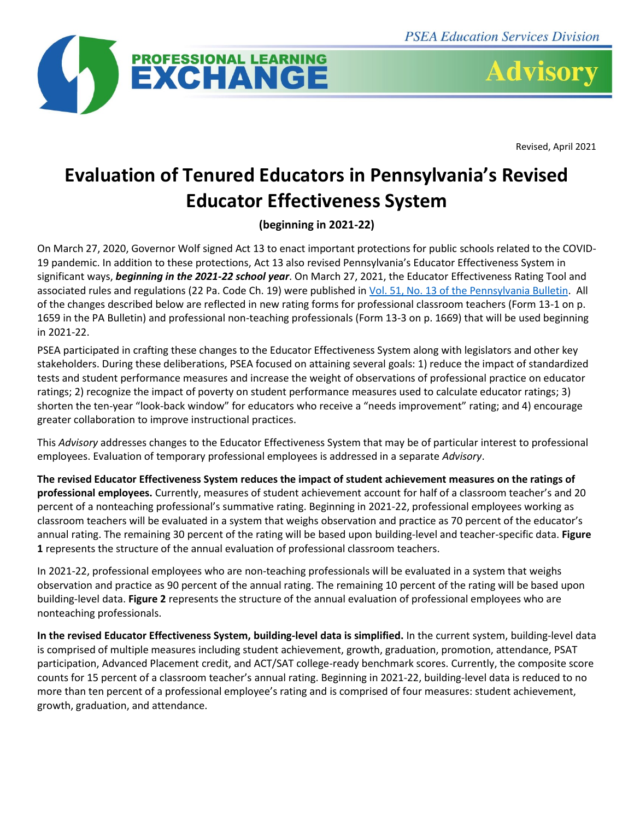

**Advisory** 

Revised, April 2021

# **Evaluation of Tenured Educators in Pennsylvania's Revised Educator Effectiveness System**

**(beginning in 2021-22)**

On March 27, 2020, Governor Wolf signed Act 13 to enact important protections for public schools related to the COVID-19 pandemic. In addition to these protections, Act 13 also revised Pennsylvania's Educator Effectiveness System in significant ways, *beginning in the 2021-22 school year*. On March 27, 2021, the Educator Effectiveness Rating Tool and associated rules and regulations (22 Pa. Code Ch. 19) were published i[n Vol. 51, No. 13 of the Pennsylvania Bulletin.](https://www.pacodeandbulletin.gov/Display/pabull?file=/secure/pabulletin/data/vol51/51-13/467.html) All of the changes described below are reflected in new rating forms for professional classroom teachers (Form 13-1 on p. 1659 in the PA Bulletin) and professional non-teaching professionals (Form 13-3 on p. 1669) that will be used beginning in 2021-22.

PSEA participated in crafting these changes to the Educator Effectiveness System along with legislators and other key stakeholders. During these deliberations, PSEA focused on attaining several goals: 1) reduce the impact of standardized tests and student performance measures and increase the weight of observations of professional practice on educator ratings; 2) recognize the impact of poverty on student performance measures used to calculate educator ratings; 3) shorten the ten-year "look-back window" for educators who receive a "needs improvement" rating; and 4) encourage greater collaboration to improve instructional practices.

This *Advisory* addresses changes to the Educator Effectiveness System that may be of particular interest to professional employees. Evaluation of temporary professional employees is addressed in a separate *Advisory*.

**The revised Educator Effectiveness System reduces the impact of student achievement measures on the ratings of professional employees.** Currently, measures of student achievement account for half of a classroom teacher's and 20 percent of a nonteaching professional's summative rating. Beginning in 2021-22, professional employees working as classroom teachers will be evaluated in a system that weighs observation and practice as 70 percent of the educator's annual rating. The remaining 30 percent of the rating will be based upon building-level and teacher-specific data. **Figure 1** represents the structure of the annual evaluation of professional classroom teachers.

In 2021-22, professional employees who are non-teaching professionals will be evaluated in a system that weighs observation and practice as 90 percent of the annual rating. The remaining 10 percent of the rating will be based upon building-level data. **Figure 2** represents the structure of the annual evaluation of professional employees who are nonteaching professionals.

**In the revised Educator Effectiveness System, building-level data is simplified.** In the current system, building-level data is comprised of multiple measures including student achievement, growth, graduation, promotion, attendance, PSAT participation, Advanced Placement credit, and ACT/SAT college-ready benchmark scores. Currently, the composite score counts for 15 percent of a classroom teacher's annual rating. Beginning in 2021-22, building-level data is reduced to no more than ten percent of a professional employee's rating and is comprised of four measures: student achievement, growth, graduation, and attendance.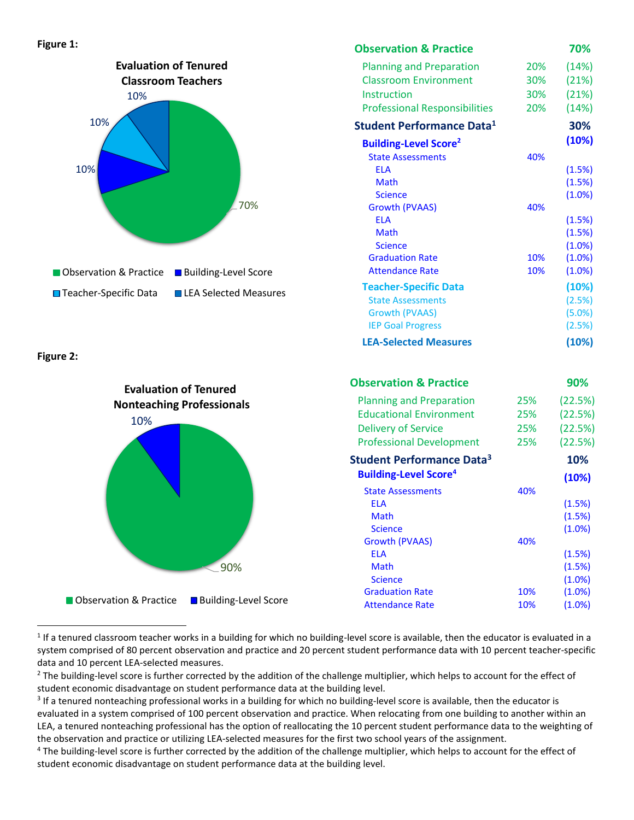#### **Figure 1:**



**Figure 2:** 



| <b>Observation &amp; Practice</b>       |     | 70%       |
|-----------------------------------------|-----|-----------|
| <b>Planning and Preparation</b>         | 20% | (14%)     |
| <b>Classroom Environment</b>            | 30% | (21%)     |
| Instruction                             | 30% | (21%)     |
| <b>Professional Responsibilities</b>    | 20% | (14%)     |
| Student Performance Data <sup>1</sup>   |     | 30%       |
| <b>Building-Level Score<sup>2</sup></b> |     | (10%)     |
| <b>State Assessments</b>                | 40% |           |
| <b>ELA</b>                              |     | (1.5%)    |
| Math                                    |     | (1.5%)    |
| <b>Science</b>                          |     | (1.0%)    |
| <b>Growth (PVAAS)</b>                   | 40% |           |
| <b>FIA</b>                              |     | (1.5%)    |
| <b>Math</b>                             |     | (1.5%)    |
| <b>Science</b>                          |     | (1.0%)    |
| <b>Graduation Rate</b>                  | 10% | (1.0%)    |
| <b>Attendance Rate</b>                  | 10% | (1.0%)    |
| <b>Teacher-Specific Data</b>            |     | (10%)     |
| <b>State Assessments</b>                |     | (2.5%)    |
| Growth (PVAAS)                          |     | $(5.0\%)$ |
| <b>IEP Goal Progress</b>                |     | (2.5%)    |
| <b>LEA-Selected Measures</b>            |     | (10%)     |

|     | 90%       |
|-----|-----------|
| 25% | (22.5%)   |
| 25% | (22.5%)   |
| 25% | (22.5%)   |
| 25% | (22.5%)   |
|     | 10%       |
|     | (10%)     |
| 40% |           |
|     | (1.5%)    |
|     | (1.5%)    |
|     | $(1.0\%)$ |
| 40% |           |
|     | (1.5%)    |
|     | (1.5%)    |
|     | $(1.0\%)$ |
| 10% | $(1.0\%)$ |
| 10% | $(1.0\%)$ |
|     |           |

 $1$  If a tenured classroom teacher works in a building for which no building-level score is available, then the educator is evaluated in a system comprised of 80 percent observation and practice and 20 percent student performance data with 10 percent teacher-specific data and 10 percent LEA-selected measures.

 $<sup>2</sup>$  The building-level score is further corrected by the addition of the challenge multiplier, which helps to account for the effect of</sup> student economic disadvantage on student performance data at the building level.

<sup>&</sup>lt;sup>3</sup> If a tenured nonteaching professional works in a building for which no building-level score is available, then the educator is evaluated in a system comprised of 100 percent observation and practice. When relocating from one building to another within an LEA, a tenured nonteaching professional has the option of reallocating the 10 percent student performance data to the weighting of the observation and practice or utilizing LEA-selected measures for the first two school years of the assignment.

<sup>4</sup> The building-level score is further corrected by the addition of the challenge multiplier, which helps to account for the effect of student economic disadvantage on student performance data at the building level.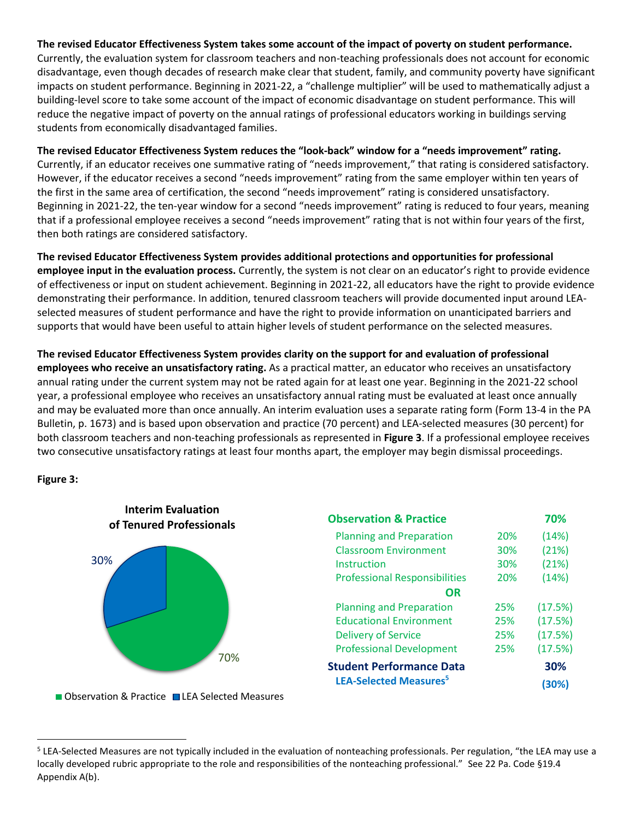### **The revised Educator Effectiveness System takes some account of the impact of poverty on student performance.**

Currently, the evaluation system for classroom teachers and non-teaching professionals does not account for economic disadvantage, even though decades of research make clear that student, family, and community poverty have significant impacts on student performance. Beginning in 2021-22, a "challenge multiplier" will be used to mathematically adjust a building-level score to take some account of the impact of economic disadvantage on student performance. This will reduce the negative impact of poverty on the annual ratings of professional educators working in buildings serving students from economically disadvantaged families.

#### **The revised Educator Effectiveness System reduces the "look-back" window for a "needs improvement" rating.**

Currently, if an educator receives one summative rating of "needs improvement," that rating is considered satisfactory. However, if the educator receives a second "needs improvement" rating from the same employer within ten years of the first in the same area of certification, the second "needs improvement" rating is considered unsatisfactory. Beginning in 2021-22, the ten-year window for a second "needs improvement" rating is reduced to four years, meaning that if a professional employee receives a second "needs improvement" rating that is not within four years of the first, then both ratings are considered satisfactory.

**The revised Educator Effectiveness System provides additional protections and opportunities for professional employee input in the evaluation process.** Currently, the system is not clear on an educator's right to provide evidence of effectiveness or input on student achievement. Beginning in 2021-22, all educators have the right to provide evidence demonstrating their performance. In addition, tenured classroom teachers will provide documented input around LEAselected measures of student performance and have the right to provide information on unanticipated barriers and supports that would have been useful to attain higher levels of student performance on the selected measures.

**The revised Educator Effectiveness System provides clarity on the support for and evaluation of professional employees who receive an unsatisfactory rating.** As a practical matter, an educator who receives an unsatisfactory annual rating under the current system may not be rated again for at least one year. Beginning in the 2021-22 school year, a professional employee who receives an unsatisfactory annual rating must be evaluated at least once annually and may be evaluated more than once annually. An interim evaluation uses a separate rating form (Form 13-4 in the PA Bulletin, p. 1673) and is based upon observation and practice (70 percent) and LEA-selected measures (30 percent) for both classroom teachers and non-teaching professionals as represented in **Figure 3**. If a professional employee receives two consecutive unsatisfactory ratings at least four months apart, the employer may begin dismissal proceedings.

**Figure 3:** 



<sup>■</sup> Observation & Practice ■ LEA Selected Measures

<sup>&</sup>lt;sup>5</sup> LEA-Selected Measures are not typically included in the evaluation of nonteaching professionals. Per regulation, "the LEA may use a locally developed rubric appropriate to the role and responsibilities of the nonteaching professional." See 22 Pa. Code §19.4 Appendix A(b).